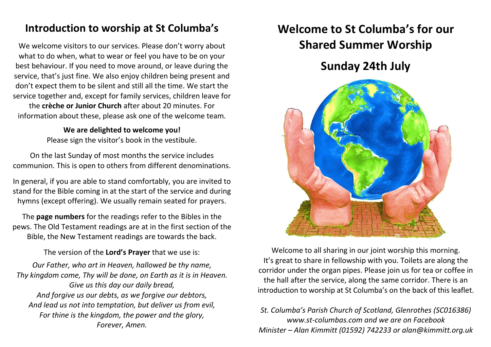## **Introduction to worship at St Columba's**

We welcome visitors to our services. Please don't worry about what to do when, what to wear or feel you have to be on your best behaviour. If you need to move around, or leave during the service, that's just fine. We also enjoy children being present and don't expect them to be silent and still all the time. We start the service together and, except for family services, children leave for

the **crèche or Junior Church** after about 20 minutes. For information about these, please ask one of the welcome team.

> **We are delighted to welcome you!** Please sign the visitor's book in the vestibule.

On the last Sunday of most months the service includes communion. This is open to others from different denominations.

In general, if you are able to stand comfortably, you are invited to stand for the Bible coming in at the start of the service and during hymns (except offering). We usually remain seated for prayers.

The **page numbers** for the readings refer to the Bibles in the pews. The Old Testament readings are at in the first section of the Bible, the New Testament readings are towards the back.

The version of the **Lord's Prayer** that we use is:

*Our Father, who art in Heaven, hallowed be thy name, Thy kingdom come, Thy will be done, on Earth as it is in Heaven. Give us this day our daily bread, And forgive us our debts, as we forgive our debtors, And lead us not into temptation, but deliver us from evil, For thine is the kingdom, the power and the glory, Forever, Amen.*

# **Welcome to St Columba's for our Shared Summer Worship**

## **Sunday 24th July**



Welcome to all sharing in our joint worship this morning. It's great to share in fellowship with you. Toilets are along the corridor under the organ pipes. Please join us for tea or coffee in the hall after the service, along the same corridor. There is an introduction to worship at St Columba's on the back of this leaflet.

*St. Columba's Parish Church of Scotland, Glenrothes (SC016386) www.st-columbas.com and we are on Facebook Minister – Alan Kimmitt (01592) 742233 or alan@kimmitt.org.uk*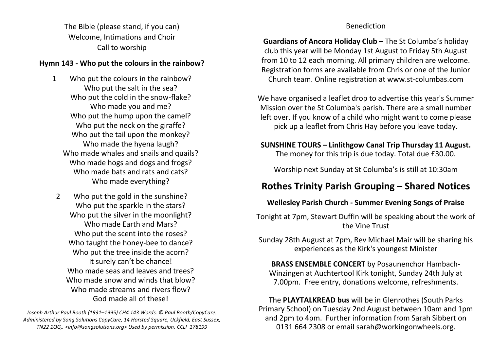The Bible (please stand, if you can) Welcome, Intimations and Choir Call to worship

#### **Hymn 143 - Who put the colours in the rainbow?**

- 1 Who put the colours in the rainbow? Who put the salt in the sea? Who put the cold in the snow-flake? Who made you and me? Who put the hump upon the camel? Who put the neck on the giraffe? Who put the tail upon the monkey? Who made the hyena laugh? Who made whales and snails and quails? Who made hogs and dogs and frogs? Who made bats and rats and cats? Who made everything?
- 2 Who put the gold in the sunshine? Who put the sparkle in the stars? Who put the silver in the moonlight? Who made Earth and Mars? Who put the scent into the roses? Who taught the honey-bee to dance? Who put the tree inside the acorn? It surely can't be chance! Who made seas and leaves and trees? Who made snow and winds that blow? Who made streams and rivers flow? God made all of these!

*Joseph Arthur Paul Booth (1931–1995) CH4 143 Words: © Paul Booth/CopyCare. Administered by Song Solutions CopyCare, 14 Horsted Square, Uckfield, East Sussex, TN22 1QG,. <info@songsolutions.org> Used by permission. CCLI 178199*

#### Benediction

**Guardians of Ancora Holiday Club –** The St Columba's holiday club this year will be Monday 1st August to Friday 5th August from 10 to 12 each morning. All primary children are welcome. Registration forms are available from Chris or one of the Junior Church team. Online registration at www.st-columbas.com

We have organised a leaflet drop to advertise this year's Summer Mission over the St Columba's parish. There are a small number left over. If you know of a child who might want to come please pick up a leaflet from Chris Hay before you leave today.

### **SUNSHINE TOURS – Linlithgow Canal Trip Thursday 11 August.**

The money for this trip is due today. Total due £30.00.

Worship next Sunday at St Columba's is still at 10:30am

### **Rothes Trinity Parish Grouping – Shared Notices**

#### **Wellesley Parish Church - Summer Evening Songs of Praise**

Tonight at 7pm, Stewart Duffin will be speaking about the work of the Vine Trust

Sunday 28th August at 7pm, Rev Michael Mair will be sharing his experiences as the Kirk's youngest Minister

**BRASS ENSEMBLE CONCERT** by Posaunenchor Hambach-Winzingen at Auchtertool Kirk tonight, Sunday 24th July at 7.00pm. Free entry, donations welcome, refreshments.

The **PLAYTALKREAD bus** will be in Glenrothes (South Parks Primary School) on Tuesday 2nd August between 10am and 1pm and 2pm to 4pm. Further information from Sarah Sibbert on 0131 664 2308 or email sarah@workingonwheels.org.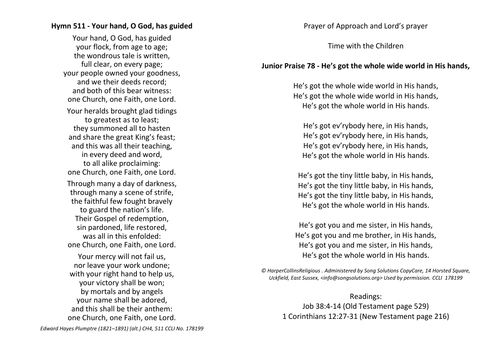#### **Hymn 511 - Your hand, O God, has guided**

Your hand, O God, has guided your flock, from age to age; the wondrous tale is written, full clear, on every page; your people owned your goodness, and we their deeds record; and both of this bear witness: one Church, one Faith, one Lord. Your heralds brought glad tidings to greatest as to least; they summoned all to hasten and share the great King's feast; and this was all their teaching, in every deed and word, to all alike proclaiming: one Church, one Faith, one Lord. Through many a day of darkness, through many a scene of strife, the faithful few fought bravely to guard the nation's life. Their Gospel of redemption, sin pardoned, life restored, was all in this enfolded: one Church, one Faith, one Lord. Your mercy will not fail us, nor leave your work undone; with your right hand to help us, your victory shall be won; by mortals and by angels your name shall be adored, and this shall be their anthem: one Church, one Faith, one Lord.

Prayer of Approach and Lord's prayer

Time with the Children

#### **Junior Praise 78 - He's got the whole wide world in His hands,**

He's got the whole wide world in His hands, He's got the whole wide world in His hands, He's got the whole world in His hands.

He's got ev'rybody here, in His hands, He's got ev'rybody here, in His hands, He's got ev'rybody here, in His hands, He's got the whole world in His hands.

He's got the tiny little baby, in His hands, He's got the tiny little baby, in His hands, He's got the tiny little baby, in His hands, He's got the whole world in His hands.

He's got you and me sister, in His hands, He's got you and me brother, in His hands, He's got you and me sister, in His hands, He's got the whole world in His hands.

*© HarperCollinsReligious . Administered by Song Solutions CopyCare, 14 Horsted Square, Uckfield, East Sussex, <info@songsolutions.org> Used by permission. CCLI 178199*

Readings: Job 38:4-14 (Old Testament page 529) 1 Corinthians 12:27-31 (New Testament page 216)